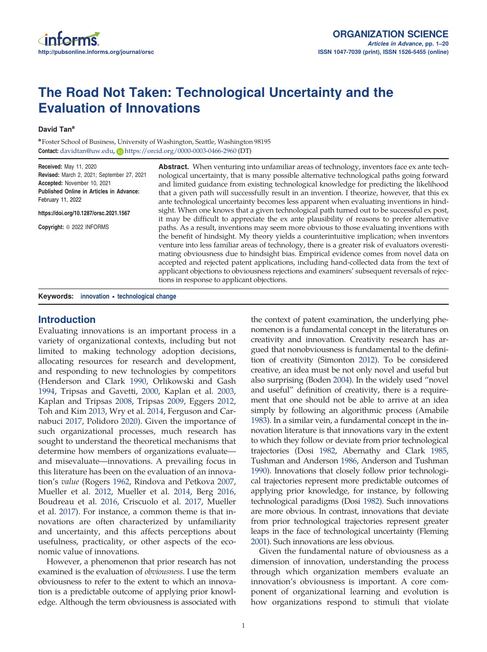# The Road Not Taken: Technological Uncertainty and the Evaluation of Innovations

#### David Tan<sup>a</sup>

<sup>a</sup> Foster School of Business, University of Washington, Seattle, Washington 98195 Contact: [davidtan@uw.edu](mailto:davidtan@uw.edu), D<https://orcid.org/0000-0003-0466-2960> (DT)

Received: May 11, 2020 Revised: March 2, 2021; September 27, 2021 Accepted: November 10, 2021 Published Online in Articles in Advance: February 11, 2022

#### https://doi.org/10.1287/orsc.2021.1567

Copyright: © 2022 INFORMS

Abstract. When venturing into unfamiliar areas of technology, inventors face ex ante technological uncertainty, that is many possible alternative technological paths going forward and limited guidance from existing technological knowledge for predicting the likelihood that a given path will successfully result in an invention. I theorize, however, that this ex ante technological uncertainty becomes less apparent when evaluating inventions in hindsight. When one knows that a given technological path turned out to be successful ex post, it may be difficult to appreciate the ex ante plausibility of reasons to prefer alternative paths. As a result, inventions may seem more obvious to those evaluating inventions with the benefit of hindsight. My theory yields a counterintuitive implication; when inventors venture into less familiar areas of technology, there is a greater risk of evaluators overestimating obviousness due to hindsight bias. Empirical evidence comes from novel data on accepted and rejected patent applications, including hand-collected data from the text of applicant objections to obviousness rejections and examiners' subsequent reversals of rejections in response to applicant objections.

Keywords: innovation • technological change

## Introduction

Evaluating innovations is an important process in a variety of organizational contexts, including but not limited to making technology adoption decisions, allocating resources for research and development, and responding to new technologies by competitors (Henderson and Clark [1990,](#page-19-0) Orlikowski and Gash [1994,](#page-19-0) Tripsas and Gavetti, [2000](#page-19-0), Kaplan et al. [2003](#page-19-0), Kaplan and Tripsas [2008](#page-19-0), Tripsas [2009,](#page-19-0) Eggers [2012](#page-18-0), Toh and Kim [2013](#page-19-0), Wry et al. [2014](#page-19-0), Ferguson and Carnabuci [2017,](#page-18-0) Polidoro [2020](#page-19-0)). Given the importance of such organizational processes, much research has sought to understand the theoretical mechanisms that determine how members of organizations evaluate and misevaluate—innovations. A prevailing focus in this literature has been on the evaluation of an innovation's *value* (Rogers [1962](#page-19-0), Rindova and Petkova [2007](#page-19-0), Mueller et al. [2012,](#page-19-0) Mueller et al. [2014,](#page-19-0) Berg [2016](#page-18-0), Boudreau et al. [2016,](#page-18-0) Criscuolo et al. [2017,](#page-18-0) Mueller et al. [2017\)](#page-19-0). For instance, a common theme is that innovations are often characterized by unfamiliarity and uncertainty, and this affects perceptions about usefulness, practicality, or other aspects of the economic value of innovations.

However, a phenomenon that prior research has not examined is the evaluation of *obviousness*. I use the term obviousness to refer to the extent to which an innovation is a predictable outcome of applying prior knowledge. Although the term obviousness is associated with the context of patent examination, the underlying phenomenon is a fundamental concept in the literatures on creativity and innovation. Creativity research has argued that nonobviousness is fundamental to the definition of creativity (Simonton [2012](#page-19-0)). To be considered creative, an idea must be not only novel and useful but also surprising (Boden [2004](#page-18-0)). In the widely used "novel and useful" definition of creativity, there is a requirement that one should not be able to arrive at an idea simply by following an algorithmic process (Amabile [1983\)](#page-18-0). In a similar vein, a fundamental concept in the innovation literature is that innovations vary in the extent to which they follow or deviate from prior technological trajectories (Dosi [1982,](#page-18-0) Abernathy and Clark [1985](#page-18-0), Tushman and Anderson [1986,](#page-19-0) Anderson and Tushman [1990\)](#page-18-0). Innovations that closely follow prior technological trajectories represent more predictable outcomes of applying prior knowledge, for instance, by following technological paradigms (Dosi [1982\)](#page-18-0). Such innovations are more obvious. In contrast, innovations that deviate from prior technological trajectories represent greater leaps in the face of technological uncertainty (Fleming [2001\)](#page-18-0). Such innovations are less obvious.

Given the fundamental nature of obviousness as a dimension of innovation, understanding the process through which organization members evaluate an innovation's obviousness is important. A core component of organizational learning and evolution is how organizations respond to stimuli that violate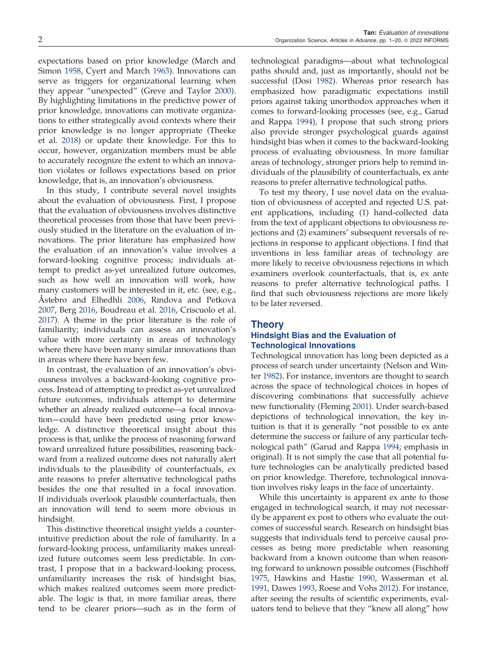expectations based on prior knowledge (March and Simon [1958](#page-19-0), Cyert and March [1963](#page-18-0)). Innovations can serve as triggers for organizational learning when they appear "unexpected" (Greve and Taylor [2000\)](#page-18-0). By highlighting limitations in the predictive power of prior knowledge, innovations can motivate organizations to either strategically avoid contexts where their prior knowledge is no longer appropriate (Theeke et al. [2018\)](#page-19-0) or update their knowledge. For this to occur, however, organization members must be able to accurately recognize the extent to which an innovation violates or follows expectations based on prior knowledge, that is, an innovation's obviousness.

In this study, I contribute several novel insights about the evaluation of obviousness. First, I propose that the evaluation of obviousness involves distinctive theoretical processes from those that have been previously studied in the literature on the evaluation of innovations. The prior literature has emphasized how the evaluation of an innovation's value involves a forward-looking cognitive process; individuals attempt to predict as-yet unrealized future outcomes, such as how well an innovation will work, how many customers will be interested in it, etc. (see, e.g., Åstebro and Elhedhli [2006,](#page-18-0) Rindova and Petkova [2007,](#page-19-0) Berg [2016,](#page-18-0) Boudreau et al. [2016](#page-18-0), Criscuolo et al. [2017\)](#page-18-0). A theme in the prior literature is the role of familiarity; individuals can assess an innovation's value with more certainty in areas of technology where there have been many similar innovations than in areas where there have been few.

In contrast, the evaluation of an innovation's obviousness involves a backward-looking cognitive process. Instead of attempting to predict as-yet unrealized future outcomes, individuals attempt to determine whether an already realized outcome—a focal innovation—could have been predicted using prior knowledge. A distinctive theoretical insight about this process is that, unlike the process of reasoning forward toward unrealized future possibilities, reasoning backward from a realized outcome does not naturally alert individuals to the plausibility of counterfactuals, ex ante reasons to prefer alternative technological paths besides the one that resulted in a focal innovation. If individuals overlook plausible counterfactuals, then an innovation will tend to seem more obvious in hindsight.

This distinctive theoretical insight yields a counterintuitive prediction about the role of familiarity. In a forward-looking process, unfamiliarity makes unrealized future outcomes seem less predictable. In contrast, I propose that in a backward-looking process, unfamiliarity increases the risk of hindsight bias, which makes realized outcomes seem more predictable. The logic is that, in more familiar areas, there tend to be clearer priors—such as in the form of

technological paradigms—about what technological paths should and, just as importantly, should not be successful (Dosi [1982\)](#page-18-0). Whereas prior research has emphasized how paradigmatic expectations instill priors against taking unorthodox approaches when it comes to forward-looking processes (see, e.g., Garud and Rappa [1994](#page-18-0)), I propose that such strong priors also provide stronger psychological guards against hindsight bias when it comes to the backward-looking process of evaluating obviousness. In more familiar areas of technology, stronger priors help to remind individuals of the plausibility of counterfactuals, ex ante reasons to prefer alternative technological paths.

To test my theory, I use novel data on the evaluation of obviousness of accepted and rejected U.S. patent applications, including (1) hand-collected data from the text of applicant objections to obviousness rejections and (2) examiners' subsequent reversals of rejections in response to applicant objections. I find that inventions in less familiar areas of technology are more likely to receive obviousness rejections in which examiners overlook counterfactuals, that is, ex ante reasons to prefer alternative technological paths. I find that such obviousness rejections are more likely to be later reversed.

## Theory

## Hindsight Bias and the Evaluation of Technological Innovations

Technological innovation has long been depicted as a process of search under uncertainty (Nelson and Winter [1982\)](#page-19-0). For instance, inventors are thought to search across the space of technological choices in hopes of discovering combinations that successfully achieve new functionality (Fleming [2001](#page-18-0)). Under search-based depictions of technological innovation, the key intuition is that it is generally "not possible to ex ante determine the success or failure of any particular technological path" (Garud and Rappa [1994;](#page-18-0) emphasis in original). It is not simply the case that all potential future technologies can be analytically predicted based on prior knowledge. Therefore, technological innovation involves risky leaps in the face of uncertainty.

While this uncertainty is apparent ex ante to those engaged in technological search, it may not necessarily be apparent ex post to others who evaluate the outcomes of successful search. Research on hindsight bias suggests that individuals tend to perceive causal processes as being more predictable when reasoning backward from a known outcome than when reasoning forward to unknown possible outcomes (Fischhoff [1975](#page-18-0), Hawkins and Hastie [1990](#page-18-0), Wasserman et al. [1991](#page-19-0), Dawes [1993](#page-18-0), Roese and Vohs [2012](#page-19-0)). For instance, after seeing the results of scientific experiments, evaluators tend to believe that they "knew all along" how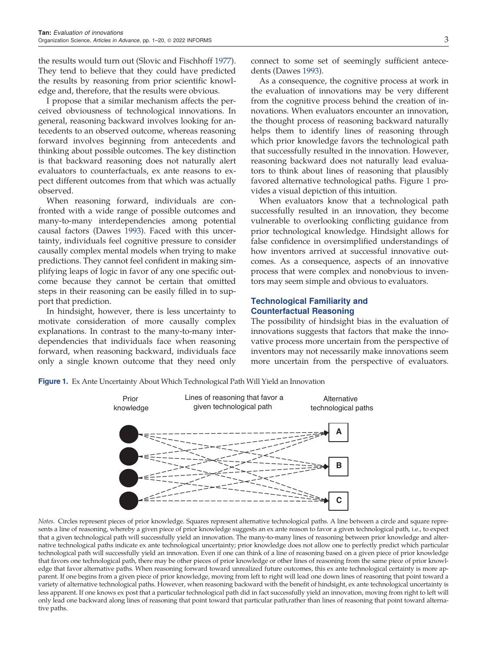the results would turn out (Slovic and Fischhoff [1977\)](#page-19-0). They tend to believe that they could have predicted the results by reasoning from prior scientific knowledge and, therefore, that the results were obvious.

I propose that a similar mechanism affects the perceived obviousness of technological innovations. In general, reasoning backward involves looking for antecedents to an observed outcome, whereas reasoning forward involves beginning from antecedents and thinking about possible outcomes. The key distinction is that backward reasoning does not naturally alert evaluators to counterfactuals, ex ante reasons to expect different outcomes from that which was actually observed.

When reasoning forward, individuals are confronted with a wide range of possible outcomes and many-to-many interdependencies among potential causal factors (Dawes [1993](#page-18-0)). Faced with this uncertainty, individuals feel cognitive pressure to consider causally complex mental models when trying to make predictions. They cannot feel confident in making simplifying leaps of logic in favor of any one specific outcome because they cannot be certain that omitted steps in their reasoning can be easily filled in to support that prediction.

In hindsight, however, there is less uncertainty to motivate consideration of more causally complex explanations. In contrast to the many-to-many interdependencies that individuals face when reasoning forward, when reasoning backward, individuals face only a single known outcome that they need only connect to some set of seemingly sufficient antecedents (Dawes [1993](#page-18-0)).

As a consequence, the cognitive process at work in the evaluation of innovations may be very different from the cognitive process behind the creation of innovations. When evaluators encounter an innovation, the thought process of reasoning backward naturally helps them to identify lines of reasoning through which prior knowledge favors the technological path that successfully resulted in the innovation. However, reasoning backward does not naturally lead evaluators to think about lines of reasoning that plausibly favored alternative technological paths. Figure 1 provides a visual depiction of this intuition.

When evaluators know that a technological path successfully resulted in an innovation, they become vulnerable to overlooking conflicting guidance from prior technological knowledge. Hindsight allows for false confidence in oversimplified understandings of how inventors arrived at successful innovative outcomes. As a consequence, aspects of an innovative process that were complex and nonobvious to inventors may seem simple and obvious to evaluators.

## Technological Familiarity and Counterfactual Reasoning

The possibility of hindsight bias in the evaluation of innovations suggests that factors that make the innovative process more uncertain from the perspective of inventors may not necessarily make innovations seem more uncertain from the perspective of evaluators.

**Figure 1.** Ex Ante Uncertainty About Which Technological Path Will Yield an Innovation



*Notes.* Circles represent pieces of prior knowledge. Squares represent alternative technological paths. A line between a circle and square represents a line of reasoning, whereby a given piece of prior knowledge suggests an ex ante reason to favor a given technological path, i.e., to expect that a given technological path will successfully yield an innovation. The many-to-many lines of reasoning between prior knowledge and alternative technological paths indicate ex ante technological uncertainty; prior knowledge does not allow one to perfectly predict which particular technological path will successfully yield an innovation. Even if one can think of a line of reasoning based on a given piece of prior knowledge that favors one technological path, there may be other pieces of prior knowledge or other lines of reasoning from the same piece of prior knowledge that favor alternative paths. When reasoning forward toward unrealized future outcomes, this ex ante technological certainty is more apparent. If one begins from a given piece of prior knowledge, moving from left to right will lead one down lines of reasoning that point toward a variety of alternative technological paths. However, when reasoning backward with the benefit of hindsight, ex ante technological uncertainty is less apparent. If one knows ex post that a particular technological path did in fact successfully yield an innovation, moving from right to left will only lead one backward along lines of reasoning that point toward that particular path,rather than lines of reasoning that point toward alternative paths.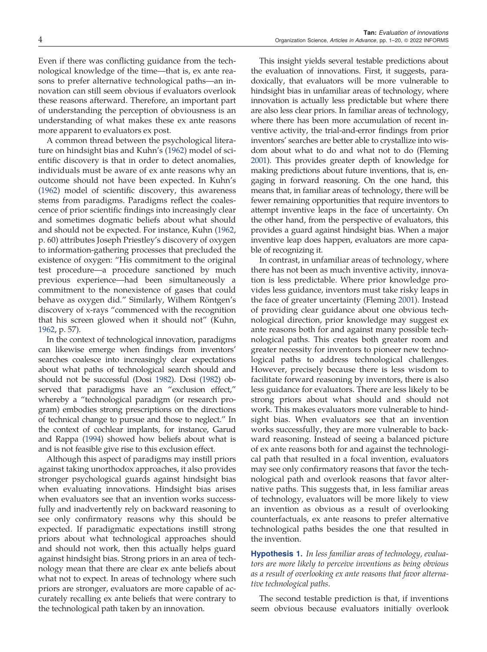<span id="page-3-0"></span>Even if there was conflicting guidance from the technological knowledge of the time—that is, ex ante reasons to prefer alternative technological paths—an innovation can still seem obvious if evaluators overlook these reasons afterward. Therefore, an important part of understanding the perception of obviousness is an understanding of what makes these ex ante reasons more apparent to evaluators ex post.

A common thread between the psychological literature on hindsight bias and Kuhn's [\(1962](#page-19-0)) model of scientific discovery is that in order to detect anomalies, individuals must be aware of ex ante reasons why an outcome should not have been expected. In Kuhn's [\(1962\)](#page-19-0) model of scientific discovery, this awareness stems from paradigms. Paradigms reflect the coalescence of prior scientific findings into increasingly clear and sometimes dogmatic beliefs about what should and should not be expected. For instance, Kuhn [\(1962,](#page-19-0) p. 60) attributes Joseph Priestley's discovery of oxygen to information-gathering processes that precluded the existence of oxygen: "His commitment to the original test procedure—a procedure sanctioned by much previous experience—had been simultaneously a commitment to the nonexistence of gases that could behave as oxygen did." Similarly, Wilhem Röntgen's discovery of x-rays "commenced with the recognition that his screen glowed when it should not" (Kuhn, [1962,](#page-19-0) p. 57).

In the context of technological innovation, paradigms can likewise emerge when findings from inventors' searches coalesce into increasingly clear expectations about what paths of technological search should and should not be successful (Dosi [1982\)](#page-18-0). Dosi [\(1982\)](#page-18-0) observed that paradigms have an "exclusion effect," whereby a "technological paradigm (or research program) embodies strong prescriptions on the directions of technical change to pursue and those to neglect." In the context of cochlear implants, for instance, Garud and Rappa [\(1994](#page-18-0)) showed how beliefs about what is and is not feasible give rise to this exclusion effect.

Although this aspect of paradigms may instill priors against taking unorthodox approaches, it also provides stronger psychological guards against hindsight bias when evaluating innovations. Hindsight bias arises when evaluators see that an invention works successfully and inadvertently rely on backward reasoning to see only confirmatory reasons why this should be expected. If paradigmatic expectations instill strong priors about what technological approaches should and should not work, then this actually helps guard against hindsight bias. Strong priors in an area of technology mean that there are clear ex ante beliefs about what not to expect. In areas of technology where such priors are stronger, evaluators are more capable of accurately recalling ex ante beliefs that were contrary to the technological path taken by an innovation.

This insight yields several testable predictions about the evaluation of innovations. First, it suggests, paradoxically, that evaluators will be more vulnerable to hindsight bias in unfamiliar areas of technology, where innovation is actually less predictable but where there are also less clear priors. In familiar areas of technology, where there has been more accumulation of recent inventive activity, the trial-and-error findings from prior inventors' searches are better able to crystallize into wisdom about what to do and what not to do (Fleming [2001\)](#page-18-0). This provides greater depth of knowledge for making predictions about future inventions, that is, engaging in forward reasoning. On the one hand, this means that, in familiar areas of technology, there will be fewer remaining opportunities that require inventors to attempt inventive leaps in the face of uncertainty. On the other hand, from the perspective of evaluators, this provides a guard against hindsight bias. When a major inventive leap does happen, evaluators are more capable of recognizing it.

In contrast, in unfamiliar areas of technology, where there has not been as much inventive activity, innovation is less predictable. Where prior knowledge provides less guidance, inventors must take risky leaps in the face of greater uncertainty (Fleming [2001](#page-18-0)). Instead of providing clear guidance about one obvious technological direction, prior knowledge may suggest ex ante reasons both for and against many possible technological paths. This creates both greater room and greater necessity for inventors to pioneer new technological paths to address technological challenges. However, precisely because there is less wisdom to facilitate forward reasoning by inventors, there is also less guidance for evaluators. There are less likely to be strong priors about what should and should not work. This makes evaluators more vulnerable to hindsight bias. When evaluators see that an invention works successfully, they are more vulnerable to backward reasoning. Instead of seeing a balanced picture of ex ante reasons both for and against the technological path that resulted in a focal invention, evaluators may see only confirmatory reasons that favor the technological path and overlook reasons that favor alternative paths. This suggests that, in less familiar areas of technology, evaluators will be more likely to view an invention as obvious as a result of overlooking counterfactuals, ex ante reasons to prefer alternative technological paths besides the one that resulted in the invention.

Hypothesis 1. *In less familiar areas of technology, evaluators are more likely to perceive inventions as being obvious as a result of overlooking ex ante reasons that favor alternative technological paths*.

The second testable prediction is that, if inventions seem obvious because evaluators initially overlook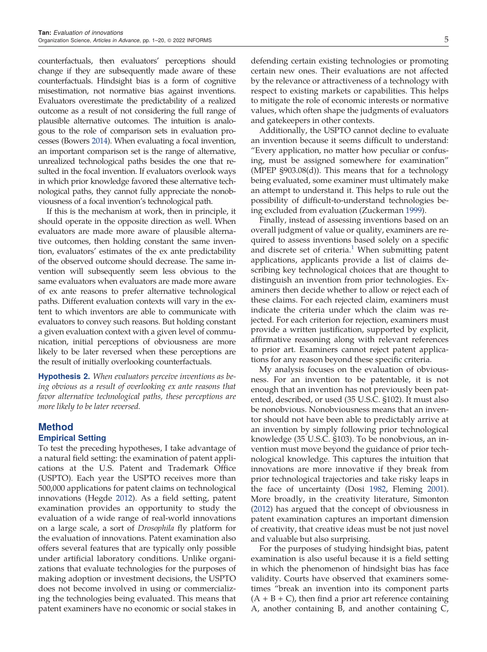<span id="page-4-0"></span>counterfactuals, then evaluators' perceptions should change if they are subsequently made aware of these counterfactuals. Hindsight bias is a form of cognitive misestimation, not normative bias against inventions. Evaluators overestimate the predictability of a realized outcome as a result of not considering the full range of plausible alternative outcomes. The intuition is analogous to the role of comparison sets in evaluation processes (Bowers [2014](#page-18-0)). When evaluating a focal invention, an important comparison set is the range of alternative, unrealized technological paths besides the one that resulted in the focal invention. If evaluators overlook ways in which prior knowledge favored these alternative technological paths, they cannot fully appreciate the nonobviousness of a focal invention's technological path.

If this is the mechanism at work, then in principle, it should operate in the opposite direction as well. When evaluators are made more aware of plausible alternative outcomes, then holding constant the same invention, evaluators' estimates of the ex ante predictability of the observed outcome should decrease. The same invention will subsequently seem less obvious to the same evaluators when evaluators are made more aware of ex ante reasons to prefer alternative technological paths. Different evaluation contexts will vary in the extent to which inventors are able to communicate with evaluators to convey such reasons. But holding constant a given evaluation context with a given level of communication, initial perceptions of obviousness are more likely to be later reversed when these perceptions are the result of initially overlooking counterfactuals.

Hypothesis 2. *When evaluators perceive inventions as being obvious as a result of overlooking ex ante reasons that favor alternative technological paths, these perceptions are more likely to be later reversed.*

## Method

## Empirical Setting

To test the preceding hypotheses, I take advantage of a natural field setting: the examination of patent applications at the U.S. Patent and Trademark Office (USPTO). Each year the USPTO receives more than 500,000 applications for patent claims on technological innovations (Hegde [2012\)](#page-19-0). As a field setting, patent examination provides an opportunity to study the evaluation of a wide range of real-world innovations on a large scale, a sort of *Drosophila* fly platform for the evaluation of innovations. Patent examination also offers several features that are typically only possible under artificial laboratory conditions. Unlike organizations that evaluate technologies for the purposes of making adoption or investment decisions, the USPTO does not become involved in using or commercializing the technologies being evaluated. This means that patent examiners have no economic or social stakes in defending certain existing technologies or promoting certain new ones. Their evaluations are not affected by the relevance or attractiveness of a technology with respect to existing markets or capabilities. This helps to mitigate the role of economic interests or normative values, which often shape the judgments of evaluators and gatekeepers in other contexts.

Additionally, the USPTO cannot decline to evaluate an invention because it seems difficult to understand: "Every application, no matter how peculiar or confusing, must be assigned somewhere for examination" (MPEP §903.08(d)). This means that for a technology being evaluated, some examiner must ultimately make an attempt to understand it. This helps to rule out the possibility of difficult-to-understand technologies being excluded from evaluation (Zuckerman [1999\)](#page-19-0).

Finally, instead of assessing inventions based on an overall judgment of value or quality, examiners are required to assess inventions based solely on a specific and discrete set of criteria. $1$  When submitting patent applications, applicants provide a list of claims describing key technological choices that are thought to distinguish an invention from prior technologies. Examiners then decide whether to allow or reject each of these claims. For each rejected claim, examiners must indicate the criteria under which the claim was rejected. For each criterion for rejection, examiners must provide a written justification, supported by explicit, affirmative reasoning along with relevant references to prior art. Examiners cannot reject patent applications for any reason beyond these specific criteria.

My analysis focuses on the evaluation of obviousness. For an invention to be patentable, it is not enough that an invention has not previously been patented, described, or used (35 U.S.C. §102). It must also be nonobvious. Nonobviousness means that an inventor should not have been able to predictably arrive at an invention by simply following prior technological knowledge (35 U.S.C. §103). To be nonobvious, an invention must move beyond the guidance of prior technological knowledge. This captures the intuition that innovations are more innovative if they break from prior technological trajectories and take risky leaps in the face of uncertainty (Dosi [1982](#page-18-0), Fleming [2001](#page-18-0)). More broadly, in the creativity literature, Simonton ([2012\)](#page-19-0) has argued that the concept of obviousness in patent examination captures an important dimension of creativity, that creative ideas must be not just novel and valuable but also surprising.

For the purposes of studying hindsight bias, patent examination is also useful because it is a field setting in which the phenomenon of hindsight bias has face validity. Courts have observed that examiners sometimes "break an invention into its component parts  $(A + B + C)$ , then find a prior art reference containing A, another containing B, and another containing C,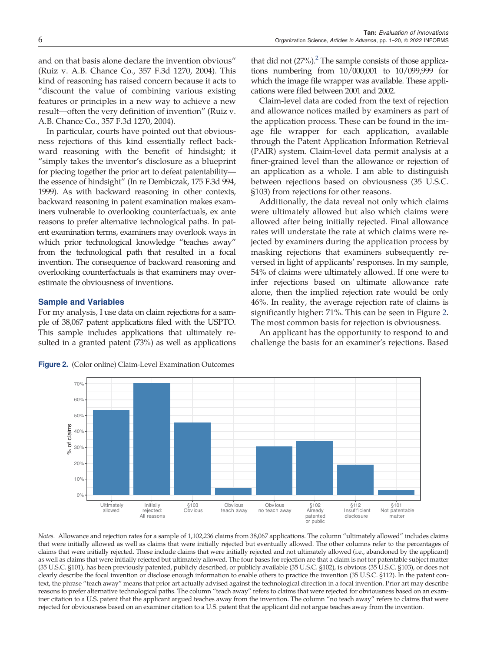and on that basis alone declare the invention obvious" (Ruiz v. A.B. Chance Co., 357 F.3d 1270, 2004). This kind of reasoning has raised concern because it acts to "discount the value of combining various existing features or principles in a new way to achieve a new result—often the very definition of invention" (Ruiz v. A.B. Chance Co., 357 F.3d 1270, 2004).

In particular, courts have pointed out that obviousness rejections of this kind essentially reflect backward reasoning with the benefit of hindsight; it "simply takes the inventor's disclosure as a blueprint for piecing together the prior art to defeat patentability the essence of hindsight" (In re Dembiczak, 175 F.3d 994, 1999). As with backward reasoning in other contexts, backward reasoning in patent examination makes examiners vulnerable to overlooking counterfactuals, ex ante reasons to prefer alternative technological paths. In patent examination terms, examiners may overlook ways in which prior technological knowledge "teaches away" from the technological path that resulted in a focal invention. The consequence of backward reasoning and overlooking counterfactuals is that examiners may overestimate the obviousness of inventions.

## Sample and Variables

For my analysis, I use data on claim rejections for a sample of 38,067 patent applications filed with the USPTO. This sample includes applications that ultimately resulted in a granted patent (73%) as well as applications

Figure 2. (Color online) Claim-Level Examination Outcomes

that did not  $(27%)$  $(27%)$  $(27%)$ .<sup>2</sup> The sample consists of those applications numbering from 10/000,001 to 10/099,999 for which the image file wrapper was available. These applications were filed between 2001 and 2002.

Tan: Evaluation of innovations

Claim-level data are coded from the text of rejection and allowance notices mailed by examiners as part of the application process. These can be found in the image file wrapper for each application, available through the Patent Application Information Retrieval (PAIR) system. Claim-level data permit analysis at a finer-grained level than the allowance or rejection of an application as a whole. I am able to distinguish between rejections based on obviousness (35 U.S.C. §103) from rejections for other reasons.

Additionally, the data reveal not only which claims were ultimately allowed but also which claims were allowed after being initially rejected. Final allowance rates will understate the rate at which claims were rejected by examiners during the application process by masking rejections that examiners subsequently reversed in light of applicants' responses. In my sample, 54% of claims were ultimately allowed. If one were to infer rejections based on ultimate allowance rate alone, then the implied rejection rate would be only 46%. In reality, the average rejection rate of claims is significantly higher: 71%. This can be seen in Figure 2. The most common basis for rejection is obviousness.

An applicant has the opportunity to respond to and challenge the basis for an examiner's rejections. Based



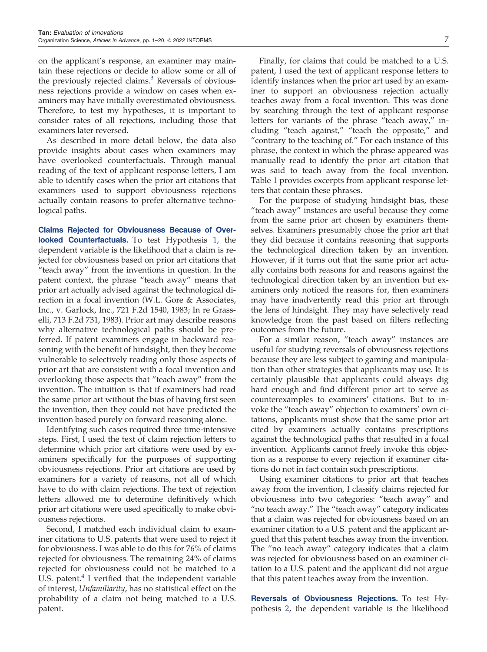on the applicant's response, an examiner may maintain these rejections or decide to allow some or all of the previously rejected claims.<sup>[3](#page-18-0)</sup> Reversals of obviousness rejections provide a window on cases when examiners may have initially overestimated obviousness. Therefore, to test my hypotheses, it is important to consider rates of all rejections, including those that examiners later reversed.

As described in more detail below, the data also provide insights about cases when examiners may have overlooked counterfactuals. Through manual reading of the text of applicant response letters, I am able to identify cases when the prior art citations that examiners used to support obviousness rejections actually contain reasons to prefer alternative technological paths.

Claims Rejected for Obviousness Because of Over**looked Counterfactuals.** To test Hypothesis [1,](#page-3-0) the dependent variable is the likelihood that a claim is rejected for obviousness based on prior art citations that "teach away" from the inventions in question. In the patent context, the phrase "teach away" means that prior art actually advised against the technological direction in a focal invention (W.L. Gore & Associates, Inc., v. Garlock, Inc., 721 F.2d 1540, 1983; In re Grasselli, 713 F.2d 731, 1983). Prior art may describe reasons why alternative technological paths should be preferred. If patent examiners engage in backward reasoning with the benefit of hindsight, then they become vulnerable to selectively reading only those aspects of prior art that are consistent with a focal invention and overlooking those aspects that "teach away" from the invention. The intuition is that if examiners had read the same prior art without the bias of having first seen the invention, then they could not have predicted the invention based purely on forward reasoning alone.

Identifying such cases required three time-intensive steps. First, I used the text of claim rejection letters to determine which prior art citations were used by examiners specifically for the purposes of supporting obviousness rejections. Prior art citations are used by examiners for a variety of reasons, not all of which have to do with claim rejections. The text of rejection letters allowed me to determine definitively which prior art citations were used specifically to make obviousness rejections.

Second, I matched each individual claim to examiner citations to U.S. patents that were used to reject it for obviousness. I was able to do this for 76% of claims rejected for obviousness. The remaining 24% of claims rejected for obviousness could not be matched to a U.S. patent. $4$  I verified that the independent variable of interest, *Unfamiliarity*, has no statistical effect on the probability of a claim not being matched to a U.S. patent.

Finally, for claims that could be matched to a U.S. patent, I used the text of applicant response letters to identify instances when the prior art used by an examiner to support an obviousness rejection actually teaches away from a focal invention. This was done by searching through the text of applicant response letters for variants of the phrase "teach away," including "teach against," "teach the opposite," and "contrary to the teaching of." For each instance of this phrase, the context in which the phrase appeared was manually read to identify the prior art citation that was said to teach away from the focal invention. Table [1](#page-7-0) provides excerpts from applicant response letters that contain these phrases.

For the purpose of studying hindsight bias, these "teach away" instances are useful because they come from the same prior art chosen by examiners themselves. Examiners presumably chose the prior art that they did because it contains reasoning that supports the technological direction taken by an invention. However, if it turns out that the same prior art actually contains both reasons for and reasons against the technological direction taken by an invention but examiners only noticed the reasons for, then examiners may have inadvertently read this prior art through the lens of hindsight. They may have selectively read knowledge from the past based on filters reflecting outcomes from the future.

For a similar reason, "teach away" instances are useful for studying reversals of obviousness rejections because they are less subject to gaming and manipulation than other strategies that applicants may use. It is certainly plausible that applicants could always dig hard enough and find different prior art to serve as counterexamples to examiners' citations. But to invoke the "teach away" objection to examiners' own citations, applicants must show that the same prior art cited by examiners actually contains prescriptions against the technological paths that resulted in a focal invention. Applicants cannot freely invoke this objection as a response to every rejection if examiner citations do not in fact contain such prescriptions.

Using examiner citations to prior art that teaches away from the invention, I classify claims rejected for obviousness into two categories: "teach away" and "no teach away." The "teach away" category indicates that a claim was rejected for obviousness based on an examiner citation to a U.S. patent and the applicant argued that this patent teaches away from the invention. The "no teach away" category indicates that a claim was rejected for obviousness based on an examiner citation to a U.S. patent and the applicant did not argue that this patent teaches away from the invention.

Reversals of Obviousness Rejections. To test Hypothesis [2](#page-4-0), the dependent variable is the likelihood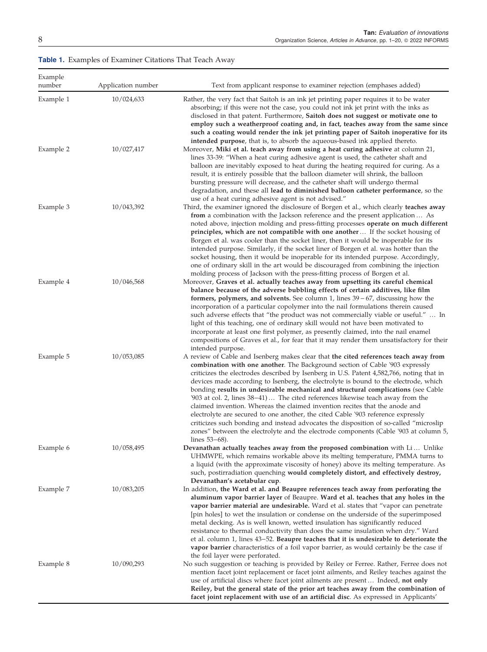<span id="page-7-0"></span>Table 1. Examples of Examiner Citations That Teach Away

| Example<br>number | Application number | Text from applicant response to examiner rejection (emphases added)                                                                                                                                                                                                                                                                                                                                                                                                                                                                                                                                                                                                                                                                                                                                                                                                                                                                                                                                       |
|-------------------|--------------------|-----------------------------------------------------------------------------------------------------------------------------------------------------------------------------------------------------------------------------------------------------------------------------------------------------------------------------------------------------------------------------------------------------------------------------------------------------------------------------------------------------------------------------------------------------------------------------------------------------------------------------------------------------------------------------------------------------------------------------------------------------------------------------------------------------------------------------------------------------------------------------------------------------------------------------------------------------------------------------------------------------------|
| Example 1         | 10/024,633         | Rather, the very fact that Saitoh is an ink jet printing paper requires it to be water<br>absorbing; if this were not the case, you could not ink jet print with the inks as<br>disclosed in that patent. Furthermore, Saitoh does not suggest or motivate one to<br>employ such a weatherproof coating and, in fact, teaches away from the same since                                                                                                                                                                                                                                                                                                                                                                                                                                                                                                                                                                                                                                                    |
| Example 2         | 10/027,417         | such a coating would render the ink jet printing paper of Saitoh inoperative for its<br>intended purpose, that is, to absorb the aqueous-based ink applied thereto.<br>Moreover, Miki et al. teach away from using a heat curing adhesive at column 21,<br>lines 33-39: "When a heat curing adhesive agent is used, the catheter shaft and<br>balloon are inevitably exposed to heat during the heating required for curing. As a<br>result, it is entirely possible that the balloon diameter will shrink, the balloon<br>bursting pressure will decrease, and the catheter shaft will undergo thermal<br>degradation, and these all lead to diminished balloon catheter performance, so the                                                                                                                                                                                                                                                                                                             |
| Example 3         | 10/043,392         | use of a heat curing adhesive agent is not advised."<br>Third, the examiner ignored the disclosure of Borgen et al., which clearly teaches away<br>from a combination with the Jackson reference and the present application  As<br>noted above, injection molding and press-fitting processes operate on much different<br>principles, which are not compatible with one another  If the socket housing of<br>Borgen et al. was cooler than the socket liner, then it would be inoperable for its<br>intended purpose. Similarly, if the socket liner of Borgen et al. was hotter than the<br>socket housing, then it would be inoperable for its intended purpose. Accordingly,                                                                                                                                                                                                                                                                                                                         |
| Example 4         | 10/046,568         | one of ordinary skill in the art would be discouraged from combining the injection<br>molding process of Jackson with the press-fitting process of Borgen et al.<br>Moreover, Graves et al. actually teaches away from upsetting its careful chemical<br>balance because of the adverse bubbling effects of certain additives, like film<br>formers, polymers, and solvents. See column 1, lines $39 - 67$ , discussing how the<br>incorporation of a particular copolymer into the nail formulations therein caused<br>such adverse effects that "the product was not commercially viable or useful."  In<br>light of this teaching, one of ordinary skill would not have been motivated to<br>incorporate at least one first polymer, as presently claimed, into the nail enamel                                                                                                                                                                                                                        |
| Example 5         | 10/053,085         | compositions of Graves et al., for fear that it may render them unsatisfactory for their<br>intended purpose.<br>A review of Cable and Isenberg makes clear that the cited references teach away from<br>combination with one another. The Background section of Cable '903 expressly<br>criticizes the electrodes described by Isenberg in U.S. Patent 4,582,766, noting that in<br>devices made according to Isenberg, the electrolyte is bound to the electrode, which<br>bonding results in undesirable mechanical and structural complications (see Cable<br>'903 at col. 2, lines $38-41$ )  The cited references likewise teach away from the<br>claimed invention. Whereas the claimed invention recites that the anode and<br>electrolyte are secured to one another, the cited Cable '903 reference expressly<br>criticizes such bonding and instead advocates the disposition of so-called "microslip"<br>zones" between the electrolyte and the electrode components (Cable '903 at column 5, |
| Example 6         | 10/058,495         | lines $53-68$ ).<br>Devanathan actually teaches away from the proposed combination with Li Unlike<br>UHMWPE, which remains workable above its melting temperature, PMMA turns to<br>a liquid (with the approximate viscosity of honey) above its melting temperature. As<br>such, postirradiation quenching would completely distort, and effectively destroy,                                                                                                                                                                                                                                                                                                                                                                                                                                                                                                                                                                                                                                            |
| Example 7         | 10/083,205         | Devanathan's acetabular cup.<br>In addition, the Ward et al. and Beaupre references teach away from perforating the<br>aluminum vapor barrier layer of Beaupre. Ward et al. teaches that any holes in the<br>vapor barrier material are undesirable. Ward et al. states that "vapor can penetrate<br>[pin holes] to wet the insulation or condense on the underside of the superimposed<br>metal decking. As is well known, wetted insulation has significantly reduced<br>resistance to thermal conductivity than does the same insulation when dry." Ward<br>et al. column 1, lines 43-52. Beaupre teaches that it is undesirable to deteriorate the<br>vapor barrier characteristics of a foil vapor barrier, as would certainly be the case if<br>the foil layer were perforated.                                                                                                                                                                                                                     |
| Example 8         | 10/090,293         | No such suggestion or teaching is provided by Reiley or Ferree. Rather, Ferree does not<br>mention facet joint replacement or facet joint ailments, and Reiley teaches against the<br>use of artificial discs where facet joint ailments are present Indeed, not only<br>Reiley, but the general state of the prior art teaches away from the combination of<br>facet joint replacement with use of an artificial disc. As expressed in Applicants'                                                                                                                                                                                                                                                                                                                                                                                                                                                                                                                                                       |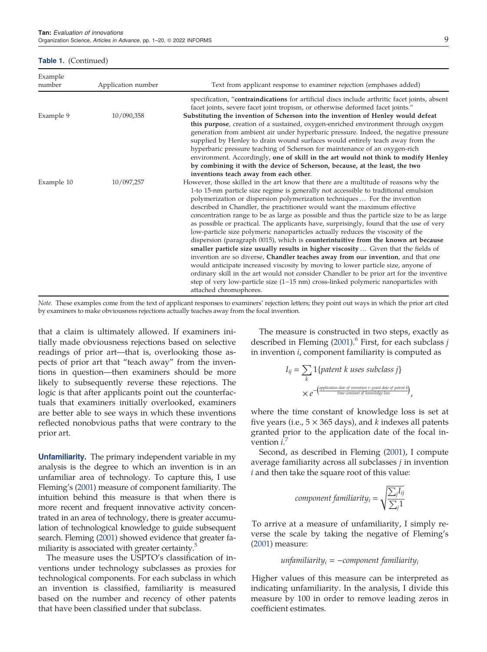#### Table 1. (Continued)

| Example<br>number | Application number | Text from applicant response to examiner rejection (emphases added)                                                                                                                                                                                                                                                                                                                                                                                                                                                                                                                                                                                                                                                                                                                                                                                                                                                                                                                                                                                                                                                                                                                            |
|-------------------|--------------------|------------------------------------------------------------------------------------------------------------------------------------------------------------------------------------------------------------------------------------------------------------------------------------------------------------------------------------------------------------------------------------------------------------------------------------------------------------------------------------------------------------------------------------------------------------------------------------------------------------------------------------------------------------------------------------------------------------------------------------------------------------------------------------------------------------------------------------------------------------------------------------------------------------------------------------------------------------------------------------------------------------------------------------------------------------------------------------------------------------------------------------------------------------------------------------------------|
| Example 9         | 10/090,358         | specification, "contraindications for artificial discs include arthritic facet joints, absent<br>facet joints, severe facet joint tropism, or otherwise deformed facet joints."<br>Substituting the invention of Scherson into the invention of Henley would defeat                                                                                                                                                                                                                                                                                                                                                                                                                                                                                                                                                                                                                                                                                                                                                                                                                                                                                                                            |
|                   |                    | this purpose, creation of a sustained, oxygen-enriched environment through oxygen<br>generation from ambient air under hyperbaric pressure. Indeed, the negative pressure<br>supplied by Henley to drain wound surfaces would entirely teach away from the<br>hyperbaric pressure teaching of Scherson for maintenance of an oxygen-rich<br>environment. Accordingly, one of skill in the art would not think to modify Henley<br>by combining it with the device of Scherson, because, at the least, the two<br>inventions teach away from each other.                                                                                                                                                                                                                                                                                                                                                                                                                                                                                                                                                                                                                                        |
| Example 10        | 10/097,257         | However, those skilled in the art know that there are a multitude of reasons why the<br>1-to 15-nm particle size regime is generally not accessible to traditional emulsion<br>polymerization or dispersion polymerization techniques  For the invention<br>described in Chandler, the practitioner would want the maximum effective<br>concentration range to be as large as possible and thus the particle size to be as large<br>as possible or practical. The applicants have, surprisingly, found that the use of very<br>low-particle size polymeric nanoparticles actually reduces the viscosity of the<br>dispersion (paragraph 0015), which is <b>counterintuitive from the known art because</b><br>smaller particle size usually results in higher viscosity  Given that the fields of<br>invention are so diverse, Chandler teaches away from our invention, and that one<br>would anticipate increased viscosity by moving to lower particle size, anyone of<br>ordinary skill in the art would not consider Chandler to be prior art for the inventive<br>step of very low-particle size $(1-15 \text{ nm})$ cross-linked polymeric nanoparticles with<br>attached chromophores. |

*Note.* These examples come from the text of applicant responses to examiners' rejection letters; they point out ways in which the prior art cited by examiners to make obviousness rejections actually teaches away from the focal invention.

that a claim is ultimately allowed. If examiners initially made obviousness rejections based on selective readings of prior art—that is, overlooking those aspects of prior art that "teach away" from the inventions in question—then examiners should be more likely to subsequently reverse these rejections. The logic is that after applicants point out the counterfactuals that examiners initially overlooked, examiners are better able to see ways in which these inventions reflected nonobvious paths that were contrary to the prior art.

Unfamiliarity. The primary independent variable in my analysis is the degree to which an invention is in an unfamiliar area of technology. To capture this, I use Fleming's [\(2001](#page-18-0)) measure of component familiarity. The intuition behind this measure is that when there is more recent and frequent innovative activity concentrated in an area of technology, there is greater accumulation of technological knowledge to guide subsequent search. Fleming ([2001\)](#page-18-0) showed evidence that greater fa-miliarity is associated with greater certainty.<sup>[5](#page-18-0)</sup>

The measure uses the USPTO's classification of inventions under technology subclasses as proxies for technological components. For each subclass in which an invention is classified, familiarity is measured based on the number and recency of other patents that have been classified under that subclass.

The measure is constructed in two steps, exactly as described in Fleming ([2001\)](#page-18-0).<sup>[6](#page-18-0)</sup> First, for each subclass *j* in invention *i*, component familiarity is computed as

$$
I_{ij} = \sum_{k} 1\{ patent\ k\ uses\ subclass\ j\}
$$
  
 
$$
\times e^{-\left(\frac{application\ date\ of\ percent\ in\ -grant\ date\ of\ parent\ k}{time\ constant\ of\ knowledge\ loss}\right)}
$$

where the time constant of knowledge loss is set at five years (i.e.,  $5 \times 365$  days), and *k* indexes all patents granted prior to the application date of the focal invention *i*. [7](#page-18-0)

Second, as described in Fleming [\(2001\)](#page-18-0), I compute average familiarity across all subclasses *j* in invention *i* and then take the square root of this value:

$$
component \, familiarity_i = \sqrt{\frac{\sum_j I_{ij}}{\sum_j 1}}
$$

To arrive at a measure of unfamiliarity, I simply reverse the scale by taking the negative of Fleming's ([2001\)](#page-18-0) measure:

*unfamiliarity<sup>i</sup>* -−*component familiarity<sup>i</sup>*

Higher values of this measure can be interpreted as indicating unfamiliarity. In the analysis, I divide this measure by 100 in order to remove leading zeros in coefficient estimates.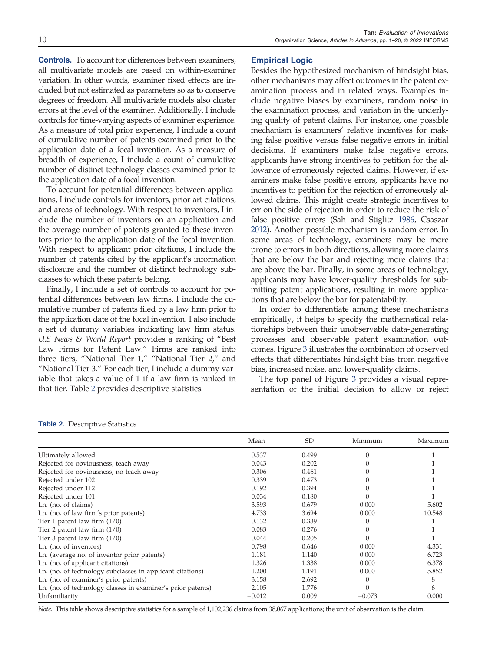Controls. To account for differences between examiners, all multivariate models are based on within-examiner variation. In other words, examiner fixed effects are included but not estimated as parameters so as to conserve degrees of freedom. All multivariate models also cluster errors at the level of the examiner. Additionally, I include controls for time-varying aspects of examiner experience. As a measure of total prior experience, I include a count of cumulative number of patents examined prior to the application date of a focal invention. As a measure of breadth of experience, I include a count of cumulative number of distinct technology classes examined prior to the application date of a focal invention.

To account for potential differences between applications, I include controls for inventors, prior art citations, and areas of technology. With respect to inventors, I include the number of inventors on an application and the average number of patents granted to these inventors prior to the application date of the focal invention. With respect to applicant prior citations, I include the number of patents cited by the applicant's information disclosure and the number of distinct technology subclasses to which these patents belong.

Finally, I include a set of controls to account for potential differences between law firms. I include the cumulative number of patents filed by a law firm prior to the application date of the focal invention. I also include a set of dummy variables indicating law firm status. *U.S News & World Report* provides a ranking of "Best Law Firms for Patent Law." Firms are ranked into three tiers, "National Tier 1," "National Tier 2," and "National Tier 3." For each tier, I include a dummy variable that takes a value of 1 if a law firm is ranked in that tier. Table 2 provides descriptive statistics.

## Empirical Logic

Besides the hypothesized mechanism of hindsight bias, other mechanisms may affect outcomes in the patent examination process and in related ways. Examples include negative biases by examiners, random noise in the examination process, and variation in the underlying quality of patent claims. For instance, one possible mechanism is examiners' relative incentives for making false positive versus false negative errors in initial decisions. If examiners make false negative errors, applicants have strong incentives to petition for the allowance of erroneously rejected claims. However, if examiners make false positive errors, applicants have no incentives to petition for the rejection of erroneously allowed claims. This might create strategic incentives to err on the side of rejection in order to reduce the risk of false positive errors (Sah and Stiglitz [1986,](#page-19-0) Csaszar [2012\)](#page-18-0). Another possible mechanism is random error. In some areas of technology, examiners may be more prone to errors in both directions, allowing more claims that are below the bar and rejecting more claims that are above the bar. Finally, in some areas of technology, applicants may have lower-quality thresholds for submitting patent applications, resulting in more applications that are below the bar for patentability.

In order to differentiate among these mechanisms empirically, it helps to specify the mathematical relationships between their unobservable data-generating processes and observable patent examination outcomes. Figure [3](#page-10-0) illustrates the combination of observed effects that differentiates hindsight bias from negative bias, increased noise, and lower-quality claims.

The top panel of Figure [3](#page-10-0) provides a visual representation of the initial decision to allow or reject

#### Table 2. Descriptive Statistics

|                                                             | Mean     | <b>SD</b> | Minimum  | Maximum |
|-------------------------------------------------------------|----------|-----------|----------|---------|
| Ultimately allowed                                          | 0.537    | 0.499     |          |         |
| Rejected for obviousness, teach away                        | 0.043    | 0.202     |          |         |
| Rejected for obviousness, no teach away                     | 0.306    | 0.461     |          |         |
| Rejected under 102                                          | 0.339    | 0.473     |          |         |
| Rejected under 112                                          | 0.192    | 0.394     |          |         |
| Rejected under 101                                          | 0.034    | 0.180     |          |         |
| Ln. (no. of claims)                                         | 3.593    | 0.679     | 0.000    | 5.602   |
| Ln. (no. of law firm's prior patents)                       | 4.733    | 3.694     | 0.000    | 10.548  |
| Tier 1 patent law firm $(1/0)$                              | 0.132    | 0.339     |          |         |
| Tier 2 patent law firm $(1/0)$                              | 0.083    | 0.276     |          |         |
| Tier 3 patent law firm $(1/0)$                              | 0.044    | 0.205     |          |         |
| Ln. (no. of inventors)                                      | 0.798    | 0.646     | 0.000    | 4.331   |
| Ln. (average no. of inventor prior patents)                 | 1.181    | 1.140     | 0.000    | 6.723   |
| Ln. (no. of applicant citations)                            | 1.326    | 1.338     | 0.000    | 6.378   |
| Ln. (no. of technology subclasses in applicant citations)   | 1.200    | 1.191     | 0.000    | 5.852   |
| Ln. (no. of examiner's prior patents)                       | 3.158    | 2.692     |          | 8       |
| Ln. (no. of technology classes in examiner's prior patents) | 2.105    | 1.776     |          | 6       |
| Unfamiliarity                                               | $-0.012$ | 0.009     | $-0.073$ | 0.000   |

*Note.* This table shows descriptive statistics for a sample of 1,102,236 claims from 38,067 applications; the unit of observation is the claim.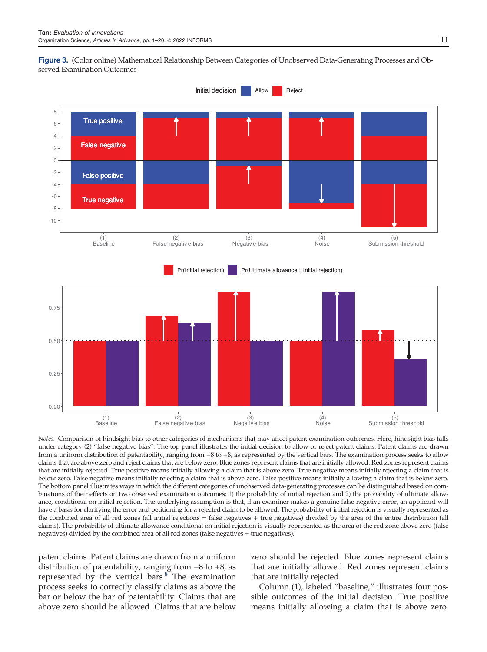<span id="page-10-0"></span>



*Notes.* Comparison of hindsight bias to other categories of mechanisms that may affect patent examination outcomes. Here, hindsight bias falls under category (2) "false negative bias". The top panel illustrates the initial decision to allow or reject patent claims. Patent claims are drawn from a uniform distribution of patentability, ranging from −8 to +8, as represented by the vertical bars. The examination process seeks to allow claims that are above zero and reject claims that are below zero. Blue zones represent claims that are initially allowed. Red zones represent claims that are initially rejected. True positive means initially allowing a claim that is above zero. True negative means initially rejecting a claim that is below zero. False negative means initially rejecting a claim that is above zero. False positive means initially allowing a claim that is below zero. The bottom panel illustrates ways in which the different categories of unobserved data-generating processes can be distinguished based on combinations of their effects on two observed examination outcomes: 1) the probability of initial rejection and 2) the probability of ultimate allowance, conditional on initial rejection. The underlying assumption is that, if an examiner makes a genuine false negative error, an applicant will have a basis for clarifying the error and petitioning for a rejected claim to be allowed. The probability of initial rejection is visually represented as the combined area of all red zones (all initial rejections = false negatives + true negatives) divided by the area of the entire distribution (all claims). The probability of ultimate allowance conditional on initial rejection is visually represented as the area of the red zone above zero (false negatives) divided by the combined area of all red zones (false negatives + true negatives).

patent claims. Patent claims are drawn from a uniform distribution of patentability, ranging from −8 to +8, as represented by the vertical bars. $8^{\circ}$  $8^{\circ}$  The examination process seeks to correctly classify claims as above the bar or below the bar of patentability. Claims that are above zero should be allowed. Claims that are below

zero should be rejected. Blue zones represent claims that are initially allowed. Red zones represent claims that are initially rejected.

Column (1), labeled "baseline," illustrates four possible outcomes of the initial decision. True positive means initially allowing a claim that is above zero.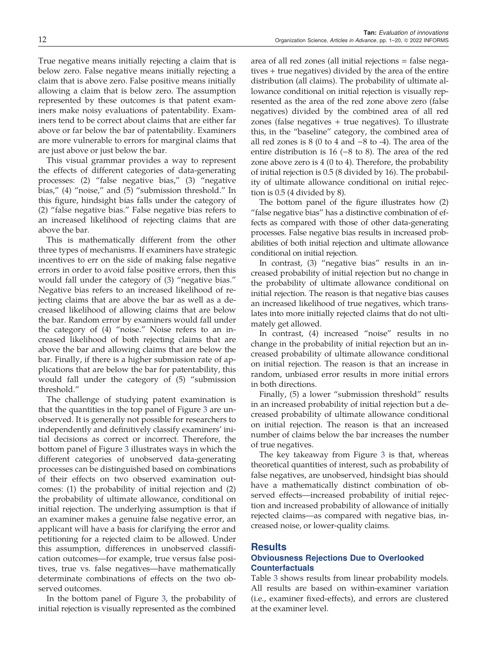True negative means initially rejecting a claim that is below zero. False negative means initially rejecting a claim that is above zero. False positive means initially allowing a claim that is below zero. The assumption represented by these outcomes is that patent examiners make noisy evaluations of patentability. Examiners tend to be correct about claims that are either far above or far below the bar of patentability. Examiners are more vulnerable to errors for marginal claims that are just above or just below the bar.

This visual grammar provides a way to represent the effects of different categories of data-generating processes: (2) "false negative bias," (3) "negative bias," (4) "noise," and (5) "submission threshold." In this figure, hindsight bias falls under the category of (2) "false negative bias." False negative bias refers to an increased likelihood of rejecting claims that are above the bar.

This is mathematically different from the other three types of mechanisms. If examiners have strategic incentives to err on the side of making false negative errors in order to avoid false positive errors, then this would fall under the category of (3) "negative bias." Negative bias refers to an increased likelihood of rejecting claims that are above the bar as well as a decreased likelihood of allowing claims that are below the bar. Random error by examiners would fall under the category of (4) "noise." Noise refers to an increased likelihood of both rejecting claims that are above the bar and allowing claims that are below the bar. Finally, if there is a higher submission rate of applications that are below the bar for patentability, this would fall under the category of (5) "submission threshold."

The challenge of studying patent examination is that the quantities in the top panel of Figure [3](#page-10-0) are unobserved. It is generally not possible for researchers to independently and definitively classify examiners' initial decisions as correct or incorrect. Therefore, the bottom panel of Figure [3](#page-10-0) illustrates ways in which the different categories of unobserved data-generating processes can be distinguished based on combinations of their effects on two observed examination outcomes: (1) the probability of initial rejection and (2) the probability of ultimate allowance, conditional on initial rejection. The underlying assumption is that if an examiner makes a genuine false negative error, an applicant will have a basis for clarifying the error and petitioning for a rejected claim to be allowed. Under this assumption, differences in unobserved classification outcomes—for example, true versus false positives, true vs. false negatives—have mathematically determinate combinations of effects on the two observed outcomes.

In the bottom panel of Figure [3](#page-10-0), the probability of initial rejection is visually represented as the combined

area of all red zones (all initial rejections = false negatives + true negatives) divided by the area of the entire distribution (all claims). The probability of ultimate allowance conditional on initial rejection is visually represented as the area of the red zone above zero (false negatives) divided by the combined area of all red zones (false negatives + true negatives). To illustrate this, in the "baseline" category, the combined area of all red zones is 8 (0 to 4 and −8 to -4). The area of the entire distribution is 16 (−8 to 8). The area of the red zone above zero is 4 (0 to 4). Therefore, the probability of initial rejection is 0.5 (8 divided by 16). The probability of ultimate allowance conditional on initial rejection is 0.5 (4 divided by 8).

The bottom panel of the figure illustrates how (2) "false negative bias" has a distinctive combination of effects as compared with those of other data-generating processes. False negative bias results in increased probabilities of both initial rejection and ultimate allowance conditional on initial rejection.

In contrast, (3) "negative bias" results in an increased probability of initial rejection but no change in the probability of ultimate allowance conditional on initial rejection. The reason is that negative bias causes an increased likelihood of true negatives, which translates into more initially rejected claims that do not ultimately get allowed.

In contrast, (4) increased "noise" results in no change in the probability of initial rejection but an increased probability of ultimate allowance conditional on initial rejection. The reason is that an increase in random, unbiased error results in more initial errors in both directions.

Finally, (5) a lower "submission threshold" results in an increased probability of initial rejection but a decreased probability of ultimate allowance conditional on initial rejection. The reason is that an increased number of claims below the bar increases the number of true negatives.

The key takeaway from Figure [3](#page-10-0) is that, whereas theoretical quantities of interest, such as probability of false negatives, are unobserved, hindsight bias should have a mathematically distinct combination of observed effects—increased probability of initial rejection and increased probability of allowance of initially rejected claims—as compared with negative bias, increased noise, or lower-quality claims.

# **Results**

## Obviousness Rejections Due to Overlooked **Counterfactuals**

Table [3](#page-12-0) shows results from linear probability models. All results are based on within-examiner variation (i.e., examiner fixed-effects), and errors are clustered at the examiner level.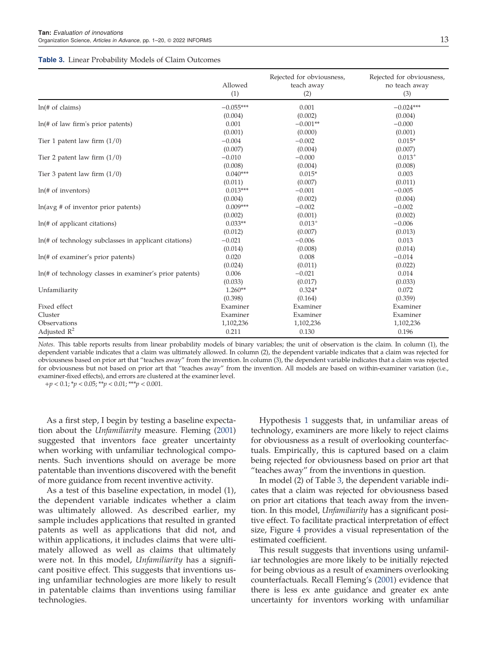#### <span id="page-12-0"></span>**Table 3.** Linear Probability Models of Claim Outcomes

|                                                             | Allowed<br>(1) | Rejected for obviousness,<br>teach away<br>(2) | Rejected for obviousness,<br>no teach away<br>(3) |
|-------------------------------------------------------------|----------------|------------------------------------------------|---------------------------------------------------|
| $ln($ # of claims $)$                                       | $-0.055***$    | 0.001                                          | $-0.024***$                                       |
|                                                             | (0.004)        | (0.002)                                        | (0.004)                                           |
| ln(f# of law firm's prior patents)                          | 0.001          | $-0.001**$                                     | $-0.000$                                          |
|                                                             | (0.001)        | (0.000)                                        | (0.001)                                           |
| Tier 1 patent law firm $(1/0)$                              | $-0.004$       | $-0.002$                                       | $0.015*$                                          |
|                                                             | (0.007)        | (0.004)                                        | (0.007)                                           |
| Tier 2 patent law firm $(1/0)$                              | $-0.010$       | $-0.000$                                       | $0.013^{+}$                                       |
|                                                             | (0.008)        | (0.004)                                        | (0.008)                                           |
| Tier 3 patent law firm $(1/0)$                              | $0.040***$     | $0.015*$                                       | 0.003                                             |
|                                                             | (0.011)        | (0.007)                                        | (0.011)                                           |
| ln( <i>#</i> of inventors)                                  | $0.013***$     | $-0.001$                                       | $-0.005$                                          |
|                                                             | (0.004)        | (0.002)                                        | (0.004)                                           |
| $ln(avg \# of inventor prior patterns)$                     | $0.009***$     | $-0.002$                                       | $-0.002$                                          |
|                                                             | (0.002)        | (0.001)                                        | (0.002)                                           |
| $ln(\# of$ applicant citations)                             | $0.033**$      | $0.013^{+}$                                    | $-0.006$                                          |
|                                                             | (0.012)        | (0.007)                                        | (0.013)                                           |
| $ln(\# of technology subclasses in application situations)$ | $-0.021$       | $-0.006$                                       | 0.013                                             |
|                                                             | (0.014)        | (0.008)                                        | (0.014)                                           |
| ln(f# of example's prior paths)                             | 0.020          | 0.008                                          | $-0.014$                                          |
|                                                             | (0.024)        | (0.011)                                        | (0.022)                                           |
| ln(# of technology classes in examiner's prior patents)     | 0.006          | $-0.021$                                       | 0.014                                             |
|                                                             | (0.033)        | (0.017)                                        | (0.033)                                           |
| Unfamiliarity                                               | $1.260**$      | $0.324*$                                       | 0.072                                             |
|                                                             | (0.398)        | (0.164)                                        | (0.359)                                           |
| Fixed effect                                                | Examiner       | Examiner                                       | Examiner                                          |
| Cluster                                                     | Examiner       | Examiner                                       | Examiner                                          |
| Observations                                                | 1,102,236      | 1,102,236                                      | 1,102,236                                         |
| Adjusted $\mathbb{R}^2$                                     | 0.211          | 0.130                                          | 0.196                                             |

*Notes.* This table reports results from linear probability models of binary variables; the unit of observation is the claim. In column (1), the dependent variable indicates that a claim was ultimately allowed. In column (2), the dependent variable indicates that a claim was rejected for obviousness based on prior art that "teaches away" from the invention. In column (3), the dependent variable indicates that a claim was rejected for obviousness but not based on prior art that "teaches away" from the invention. All models are based on within-examiner variation (i.e., examiner-fixed effects), and errors are clustered at the examiner level.

+*p* < 0.1; \**p* < 0.05; \*\**p* < 0.01; \*\*\**p* < 0.001.

As a first step, I begin by testing a baseline expectation about the *Unfamiliarity* measure. Fleming [\(2001](#page-18-0)) suggested that inventors face greater uncertainty when working with unfamiliar technological components. Such inventions should on average be more patentable than inventions discovered with the benefit of more guidance from recent inventive activity.

As a test of this baseline expectation, in model (1), the dependent variable indicates whether a claim was ultimately allowed. As described earlier, my sample includes applications that resulted in granted patents as well as applications that did not, and within applications, it includes claims that were ultimately allowed as well as claims that ultimately were not. In this model, *Unfamiliarity* has a significant positive effect. This suggests that inventions using unfamiliar technologies are more likely to result in patentable claims than inventions using familiar technologies.

Hypothesis [1](#page-3-0) suggests that, in unfamiliar areas of technology, examiners are more likely to reject claims for obviousness as a result of overlooking counterfactuals. Empirically, this is captured based on a claim being rejected for obviousness based on prior art that "teaches away" from the inventions in question.

In model (2) of Table 3, the dependent variable indicates that a claim was rejected for obviousness based on prior art citations that teach away from the invention. In this model, *Unfamiliarity* has a significant positive effect. To facilitate practical interpretation of effect size, Figure [4](#page-13-0) provides a visual representation of the estimated coefficient.

This result suggests that inventions using unfamiliar technologies are more likely to be initially rejected for being obvious as a result of examiners overlooking counterfactuals. Recall Fleming's [\(2001](#page-18-0)) evidence that there is less ex ante guidance and greater ex ante uncertainty for inventors working with unfamiliar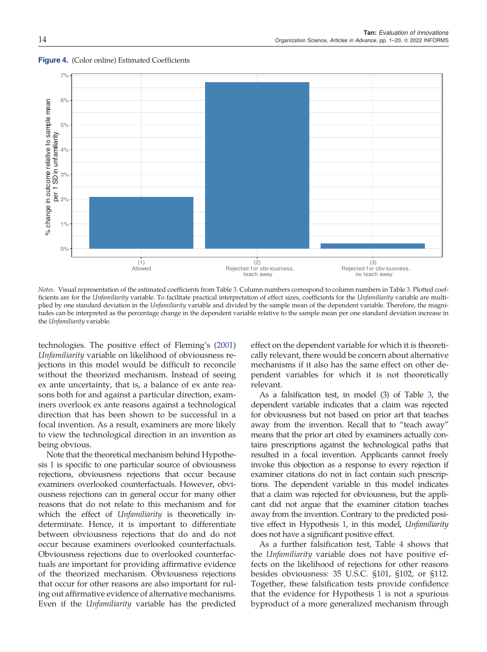

#### <span id="page-13-0"></span>**Figure 4.** (Color online) Estimated Coefficients

*Notes.* Visual representation of the estimated coefficients from Table [3](#page-12-0). Column numbers correspond to column numbers in Table [3](#page-12-0). Plotted coefficients are for the *Unfamiliarity* variable. To facilitate practical interpretation of effect sizes, coefficients for the *Unfamiliarity* variable are multiplied by one standard deviation in the *Unfamiliarity* variable and divided by the sample mean of the dependent variable. Therefore, the magnitudes can be interpreted as the percentage change in the dependent variable relative to the sample mean per one standard deviation increase in the *Unfamiliarity* variable.

technologies. The positive effect of Fleming's [\(2001](#page-18-0)) *Unfamiliarity* variable on likelihood of obviousness rejections in this model would be difficult to reconcile without the theorized mechanism. Instead of seeing ex ante uncertainty, that is, a balance of ex ante reasons both for and against a particular direction, examiners overlook ex ante reasons against a technological direction that has been shown to be successful in a focal invention. As a result, examiners are more likely to view the technological direction in an invention as being obvious.

Note that the theoretical mechanism behind Hypothesis [1](#page-3-0) is specific to one particular source of obviousness rejections, obviousness rejections that occur because examiners overlooked counterfactuals. However, obviousness rejections can in general occur for many other reasons that do not relate to this mechanism and for which the effect of *Unfamiliarity* is theoretically indeterminate. Hence, it is important to differentiate between obviousness rejections that do and do not occur because examiners overlooked counterfactuals. Obviousness rejections due to overlooked counterfactuals are important for providing affirmative evidence of the theorized mechanism. Obviousness rejections that occur for other reasons are also important for ruling out affirmative evidence of alternative mechanisms. Even if the *Unfamiliarity* variable has the predicted

effect on the dependent variable for which it is theoretically relevant, there would be concern about alternative mechanisms if it also has the same effect on other dependent variables for which it is not theoretically relevant.

As a falsification test, in model (3) of Table [3](#page-12-0), the dependent variable indicates that a claim was rejected for obviousness but not based on prior art that teaches away from the invention. Recall that to "teach away" means that the prior art cited by examiners actually contains prescriptions against the technological paths that resulted in a focal invention. Applicants cannot freely invoke this objection as a response to every rejection if examiner citations do not in fact contain such prescriptions. The dependent variable in this model indicates that a claim was rejected for obviousness, but the applicant did not argue that the examiner citation teaches away from the invention. Contrary to the predicted positive effect in Hypothesis [1,](#page-3-0) in this model, *Unfamiliarity* does not have a significant positive effect.

As a further falsification test, Table [4](#page-14-0) shows that the *Unfamiliarity* variable does not have positive effects on the likelihood of rejections for other reasons besides obviousness: 35 U.S.C. §101, §102, or §112. Together, these falsification tests provide confidence that the evidence for Hypothesis [1](#page-3-0) is not a spurious byproduct of a more generalized mechanism through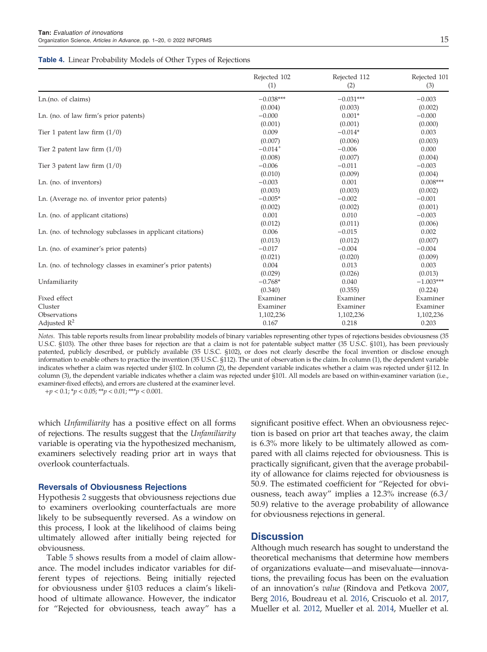#### <span id="page-14-0"></span>**Table 4.** Linear Probability Models of Other Types of Rejections

|                                                             | Rejected 102<br>(1)   | Rejected 112<br>(2) | Rejected 101<br>(3) |
|-------------------------------------------------------------|-----------------------|---------------------|---------------------|
| Ln.(no. of claims)                                          | $-0.038***$           | $-0.031***$         | $-0.003$            |
|                                                             | (0.004)               | (0.003)             | (0.002)             |
| Ln. (no. of law firm's prior patents)                       | $-0.000$              | $0.001*$            | $-0.000$            |
|                                                             | (0.001)               | (0.001)             | (0.000)             |
| Tier 1 patent law firm $(1/0)$                              | 0.009                 | $-0.014*$           | 0.003               |
|                                                             | (0.007)               | (0.006)             | (0.003)             |
| Tier 2 patent law firm $(1/0)$                              | $-0.014$ <sup>+</sup> | $-0.006$            | 0.000               |
|                                                             | (0.008)               | (0.007)             | (0.004)             |
| Tier 3 patent law firm $(1/0)$                              | $-0.006$              | $-0.011$            | $-0.003$            |
|                                                             | (0.010)               | (0.009)             | (0.004)             |
| Ln. (no. of inventors)                                      | $-0.003$              | 0.001               | $0.008***$          |
|                                                             | (0.003)               | (0.003)             | (0.002)             |
| Ln. (Average no. of inventor prior patents)                 | $-0.005*$             | $-0.002$            | $-0.001$            |
|                                                             | (0.002)               | (0.002)             | (0.001)             |
| Ln. (no. of applicant citations)                            | 0.001                 | 0.010               | $-0.003$            |
|                                                             | (0.012)               | (0.011)             | (0.006)             |
| Ln. (no. of technology subclasses in applicant citations)   | 0.006                 | $-0.015$            | 0.002               |
|                                                             | (0.013)               | (0.012)             | (0.007)             |
| Ln. (no. of examiner's prior patents)                       | $-0.017$              | $-0.004$            | $-0.004$            |
|                                                             | (0.021)               | (0.020)             | (0.009)             |
| Ln. (no. of technology classes in examiner's prior patents) | 0.004                 | 0.013               | 0.003               |
|                                                             | (0.029)               | (0.026)             | (0.013)             |
| Unfamiliarity                                               | $-0.768*$             | 0.040               | $-1.003***$         |
|                                                             | (0.340)               | (0.355)             | (0.224)             |
| Fixed effect                                                | Examiner              | Examiner            | Examiner            |
| Cluster                                                     | Examiner              | Examiner            | Examiner            |
| Observations                                                | 1,102,236             | 1,102,236           | 1,102,236           |
| Adjusted $R^2$                                              | 0.167                 | 0.218               | 0.203               |

*Notes.* This table reports results from linear probability models of binary variables representing other types of rejections besides obviousness (35 U.S.C. §103). The other three bases for rejection are that a claim is not for patentable subject matter (35 U.S.C. §101), has been previously patented, publicly described, or publicly available (35 U.S.C. §102), or does not clearly describe the focal invention or disclose enough information to enable others to practice the invention (35 U.S.C. §112). The unit of observation is the claim. In column (1), the dependent variable indicates whether a claim was rejected under §102. In column (2), the dependent variable indicates whether a claim was rejected under §112. In column (3), the dependent variable indicates whether a claim was rejected under §101. All models are based on within-examiner variation (i.e., examiner-fixed effects), and errors are clustered at the examiner level.

+*p* < 0.1; \**p* < 0.05; \*\**p* < 0.01; \*\*\**p* < 0.001.

which *Unfamiliarity* has a positive effect on all forms of rejections. The results suggest that the *Unfamiliarity* variable is operating via the hypothesized mechanism, examiners selectively reading prior art in ways that overlook counterfactuals.

#### Reversals of Obviousness Rejections

Hypothesis [2](#page-4-0) suggests that obviousness rejections due to examiners overlooking counterfactuals are more likely to be subsequently reversed. As a window on this process, I look at the likelihood of claims being ultimately allowed after initially being rejected for obviousness.

Table [5](#page-15-0) shows results from a model of claim allowance. The model includes indicator variables for different types of rejections. Being initially rejected for obviousness under §103 reduces a claim's likelihood of ultimate allowance. However, the indicator for "Rejected for obviousness, teach away" has a

significant positive effect. When an obviousness rejection is based on prior art that teaches away, the claim is 6.3% more likely to be ultimately allowed as compared with all claims rejected for obviousness. This is practically significant, given that the average probability of allowance for claims rejected for obviousness is 50.9. The estimated coefficient for "Rejected for obviousness, teach away" implies a 12.3% increase (6.3/ 50.9) relative to the average probability of allowance for obviousness rejections in general.

## Discussion

Although much research has sought to understand the theoretical mechanisms that determine how members of organizations evaluate—and misevaluate—innovations, the prevailing focus has been on the evaluation of an innovation's *value* (Rindova and Petkova [2007](#page-19-0), Berg [2016,](#page-18-0) Boudreau et al. [2016](#page-18-0), Criscuolo et al. [2017](#page-18-0), Mueller et al. [2012](#page-19-0), Mueller et al. [2014](#page-19-0), Mueller et al.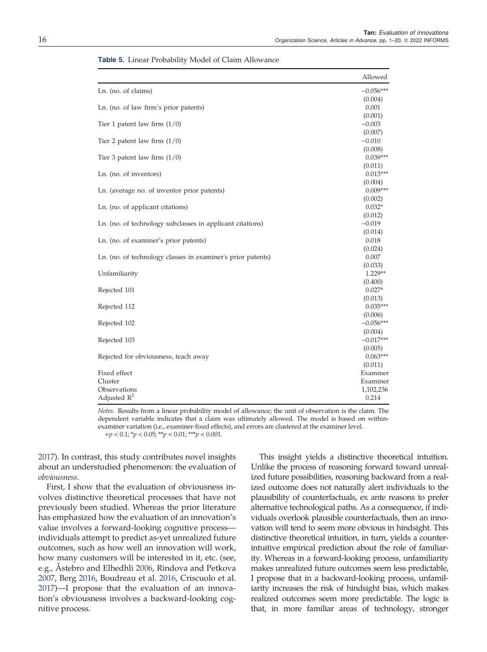|                                                             | Allowed     |
|-------------------------------------------------------------|-------------|
| Ln. (no. of claims)                                         | $-0.056***$ |
|                                                             | (0.004)     |
| Ln. (no. of law firm's prior patents)                       | 0.001       |
|                                                             | (0.001)     |
| Tier 1 patent law firm $(1/0)$                              | $-0.003$    |
|                                                             | (0.007)     |
| Tier 2 patent law firm $(1/0)$                              | $-0.010$    |
|                                                             | (0.008)     |
| Tier 3 patent law firm $(1/0)$                              | $0.039***$  |
|                                                             | (0.011)     |
| Ln. (no. of inventors)                                      | $0.013***$  |
|                                                             | (0.004)     |
| Ln. (average no. of inventor prior patents)                 | $0.009***$  |
|                                                             | (0.002)     |
| Ln. (no. of applicant citations)                            | $0.032*$    |
|                                                             | (0.012)     |
| Ln. (no. of technology subclasses in applicant citations)   | $-0.019$    |
|                                                             | (0.014)     |
| Ln. (no. of examiner's prior patents)                       | 0.018       |
|                                                             | (0.024)     |
| Ln. (no. of technology classes in examiner's prior patents) | 0.007       |
|                                                             | (0.033)     |
| Unfamiliarity                                               | 1.229**     |
|                                                             | (0.400)     |
| Rejected 101                                                | $0.027*$    |
|                                                             | (0.013)     |
| Rejected 112                                                | $0.035***$  |
|                                                             | (0.006)     |
| Rejected 102                                                | $-0.056***$ |
|                                                             | (0.004)     |
| Rejected 103                                                | $-0.017***$ |
|                                                             | (0.005)     |
| Rejected for obviousness, teach away                        | $0.063***$  |
|                                                             | (0.011)     |
| Fixed effect                                                | Examiner    |
| Cluster                                                     | Examiner    |
| Observations                                                | 1,102,236   |
| Adjusted $R^2$                                              | 0.214       |

<span id="page-15-0"></span>Table 5. Linear Probability Model of Claim Allowance

*Notes.* Results from a linear probability model of allowance; the unit of observation is the claim. The dependent variable indicates that a claim was ultimately allowed. The model is based on withinexaminer variation (i.e., examiner-fixed effects), and errors are clustered at the examiner level. +*p* < 0.1; \**p* < 0.05; \*\**p* < 0.01; \*\*\**p* < 0.001.

[2017\)](#page-19-0). In contrast, this study contributes novel insights about an understudied phenomenon: the evaluation of *obviousness*.

First, I show that the evaluation of obviousness involves distinctive theoretical processes that have not previously been studied. Whereas the prior literature has emphasized how the evaluation of an innovation's value involves a forward-looking cognitive process individuals attempt to predict as-yet unrealized future outcomes, such as how well an innovation will work, how many customers will be interested in it, etc. (see, e.g., Åstebro and Elhedhli [2006](#page-18-0), Rindova and Petkova [2007,](#page-19-0) Berg [2016,](#page-18-0) Boudreau et al. [2016](#page-18-0), Criscuolo et al. [2017\)](#page-18-0)—I propose that the evaluation of an innovation's obviousness involves a backward-looking cognitive process.

This insight yields a distinctive theoretical intuition. Unlike the process of reasoning forward toward unrealized future possibilities, reasoning backward from a realized outcome does not naturally alert individuals to the plausibility of counterfactuals, ex ante reasons to prefer alternative technological paths. As a consequence, if individuals overlook plausible counterfactuals, then an innovation will tend to seem more obvious in hindsight. This distinctive theoretical intuition, in turn, yields a counterintuitive empirical prediction about the role of familiarity. Whereas in a forward-looking process, unfamiliarity makes unrealized future outcomes seem less predictable, I propose that in a backward-looking process, unfamiliarity increases the risk of hindsight bias, which makes realized outcomes seem more predictable. The logic is that, in more familiar areas of technology, stronger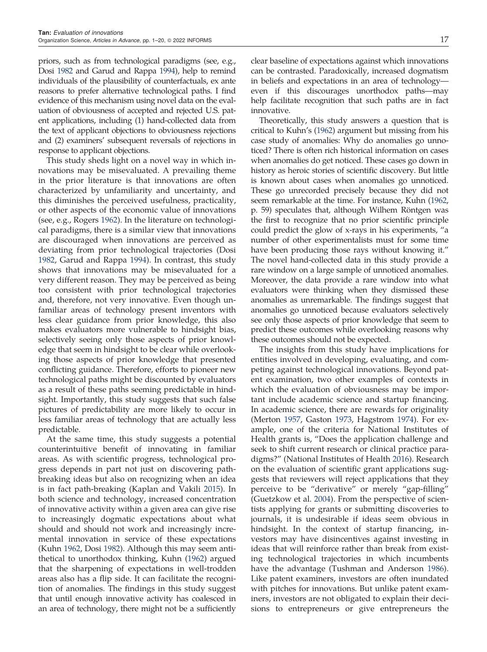priors, such as from technological paradigms (see, e.g., Dosi [1982](#page-18-0) and Garud and Rappa [1994](#page-18-0)), help to remind individuals of the plausibility of counterfactuals, ex ante reasons to prefer alternative technological paths. I find evidence of this mechanism using novel data on the evaluation of obviousness of accepted and rejected U.S. patent applications, including (1) hand-collected data from the text of applicant objections to obviousness rejections and (2) examiners' subsequent reversals of rejections in response to applicant objections.

This study sheds light on a novel way in which innovations may be misevaluated. A prevailing theme in the prior literature is that innovations are often characterized by unfamiliarity and uncertainty, and this diminishes the perceived usefulness, practicality, or other aspects of the economic value of innovations (see, e.g., Rogers [1962](#page-19-0)). In the literature on technological paradigms, there is a similar view that innovations are discouraged when innovations are perceived as deviating from prior technological trajectories (Dosi [1982,](#page-18-0) Garud and Rappa [1994\)](#page-18-0). In contrast, this study shows that innovations may be misevaluated for a very different reason. They may be perceived as being too consistent with prior technological trajectories and, therefore, not very innovative. Even though unfamiliar areas of technology present inventors with less clear guidance from prior knowledge, this also makes evaluators more vulnerable to hindsight bias, selectively seeing only those aspects of prior knowledge that seem in hindsight to be clear while overlooking those aspects of prior knowledge that presented conflicting guidance. Therefore, efforts to pioneer new technological paths might be discounted by evaluators as a result of these paths seeming predictable in hindsight. Importantly, this study suggests that such false pictures of predictability are more likely to occur in less familiar areas of technology that are actually less predictable.

At the same time, this study suggests a potential counterintuitive benefit of innovating in familiar areas. As with scientific progress, technological progress depends in part not just on discovering pathbreaking ideas but also on recognizing when an idea is in fact path-breaking (Kaplan and Vakili [2015\)](#page-19-0). In both science and technology, increased concentration of innovative activity within a given area can give rise to increasingly dogmatic expectations about what should and should not work and increasingly incremental innovation in service of these expectations (Kuhn [1962](#page-19-0), Dosi [1982](#page-18-0)). Although this may seem antithetical to unorthodox thinking, Kuhn [\(1962](#page-19-0)) argued that the sharpening of expectations in well-trodden areas also has a flip side. It can facilitate the recognition of anomalies. The findings in this study suggest that until enough innovative activity has coalesced in an area of technology, there might not be a sufficiently clear baseline of expectations against which innovations can be contrasted. Paradoxically, increased dogmatism in beliefs and expectations in an area of technology even if this discourages unorthodox paths—may help facilitate recognition that such paths are in fact innovative.

Theoretically, this study answers a question that is critical to Kuhn's [\(1962\)](#page-19-0) argument but missing from his case study of anomalies: Why do anomalies go unnoticed? There is often rich historical information on cases when anomalies do get noticed. These cases go down in history as heroic stories of scientific discovery. But little is known about cases when anomalies go unnoticed. These go unrecorded precisely because they did not seem remarkable at the time. For instance, Kuhn [\(1962](#page-19-0), p. 59) speculates that, although Wilhem Röntgen was the first to recognize that no prior scientific principle could predict the glow of x-rays in his experiments, "a number of other experimentalists must for some time have been producing those rays without knowing it." The novel hand-collected data in this study provide a rare window on a large sample of unnoticed anomalies. Moreover, the data provide a rare window into what evaluators were thinking when they dismissed these anomalies as unremarkable. The findings suggest that anomalies go unnoticed because evaluators selectively see only those aspects of prior knowledge that seem to predict these outcomes while overlooking reasons why these outcomes should not be expected.

The insights from this study have implications for entities involved in developing, evaluating, and competing against technological innovations. Beyond patent examination, two other examples of contexts in which the evaluation of obviousness may be important include academic science and startup financing. In academic science, there are rewards for originality (Merton [1957,](#page-19-0) Gaston [1973](#page-18-0), Hagstrom [1974](#page-18-0)). For example, one of the criteria for National Institutes of Health grants is, "Does the application challenge and seek to shift current research or clinical practice paradigms?" (National Institutes of Health [2016](#page-19-0)). Research on the evaluation of scientific grant applications suggests that reviewers will reject applications that they perceive to be "derivative" or merely "gap-filling" (Guetzkow et al. [2004](#page-18-0)). From the perspective of scientists applying for grants or submitting discoveries to journals, it is undesirable if ideas seem obvious in hindsight. In the context of startup financing, investors may have disincentives against investing in ideas that will reinforce rather than break from existing technological trajectories in which incumbents have the advantage (Tushman and Anderson [1986](#page-19-0)). Like patent examiners, investors are often inundated with pitches for innovations. But unlike patent examiners, investors are not obligated to explain their decisions to entrepreneurs or give entrepreneurs the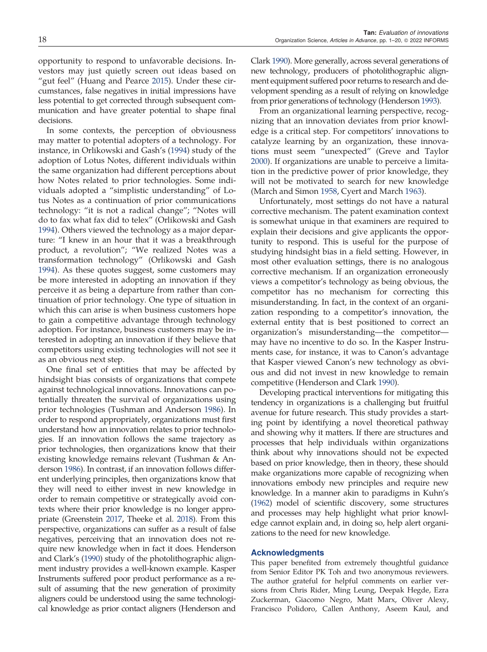opportunity to respond to unfavorable decisions. Investors may just quietly screen out ideas based on "gut feel" (Huang and Pearce [2015](#page-19-0)). Under these circumstances, false negatives in initial impressions have less potential to get corrected through subsequent communication and have greater potential to shape final decisions.

In some contexts, the perception of obviousness may matter to potential adopters of a technology. For instance, in Orlikowski and Gash's ([1994\)](#page-19-0) study of the adoption of Lotus Notes, different individuals within the same organization had different perceptions about how Notes related to prior technologies. Some individuals adopted a "simplistic understanding" of Lotus Notes as a continuation of prior communications technology: "it is not a radical change"; "Notes will do to fax what fax did to telex" (Orlikowski and Gash [1994\)](#page-19-0). Others viewed the technology as a major departure: "I knew in an hour that it was a breakthrough product, a revolution"; "We realized Notes was a transformation technology" (Orlikowski and Gash [1994\)](#page-19-0). As these quotes suggest, some customers may be more interested in adopting an innovation if they perceive it as being a departure from rather than continuation of prior technology. One type of situation in which this can arise is when business customers hope to gain a competitive advantage through technology adoption. For instance, business customers may be interested in adopting an innovation if they believe that competitors using existing technologies will not see it as an obvious next step.

One final set of entities that may be affected by hindsight bias consists of organizations that compete against technological innovations. Innovations can potentially threaten the survival of organizations using prior technologies (Tushman and Anderson [1986](#page-19-0)). In order to respond appropriately, organizations must first understand how an innovation relates to prior technologies. If an innovation follows the same trajectory as prior technologies, then organizations know that their existing knowledge remains relevant (Tushman & Anderson [1986\)](#page-19-0). In contrast, if an innovation follows different underlying principles, then organizations know that they will need to either invest in new knowledge in order to remain competitive or strategically avoid contexts where their prior knowledge is no longer appropriate (Greenstein [2017,](#page-18-0) Theeke et al. [2018\)](#page-19-0). From this perspective, organizations can suffer as a result of false negatives, perceiving that an innovation does not require new knowledge when in fact it does. Henderson and Clark's [\(1990](#page-19-0)) study of the photolithographic alignment industry provides a well-known example. Kasper Instruments suffered poor product performance as a result of assuming that the new generation of proximity aligners could be understood using the same technological knowledge as prior contact aligners (Henderson and Clark [1990](#page-19-0)). More generally, across several generations of new technology, producers of photolithographic alignment equipment suffered poor returns to research and development spending as a result of relying on knowledge from prior generations of technology (Henderson [1993\)](#page-19-0).

From an organizational learning perspective, recognizing that an innovation deviates from prior knowledge is a critical step. For competitors' innovations to catalyze learning by an organization, these innovations must seem "unexpected" (Greve and Taylor [2000](#page-18-0)). If organizations are unable to perceive a limitation in the predictive power of prior knowledge, they will not be motivated to search for new knowledge (March and Simon [1958,](#page-19-0) Cyert and March [1963](#page-18-0)).

Unfortunately, most settings do not have a natural corrective mechanism. The patent examination context is somewhat unique in that examiners are required to explain their decisions and give applicants the opportunity to respond. This is useful for the purpose of studying hindsight bias in a field setting. However, in most other evaluation settings, there is no analogous corrective mechanism. If an organization erroneously views a competitor's technology as being obvious, the competitor has no mechanism for correcting this misunderstanding. In fact, in the context of an organization responding to a competitor's innovation, the external entity that is best positioned to correct an organization's misunderstanding—the competitor may have no incentive to do so. In the Kasper Instruments case, for instance, it was to Canon's advantage that Kasper viewed Canon's new technology as obvious and did not invest in new knowledge to remain competitive (Henderson and Clark [1990\)](#page-19-0).

Developing practical interventions for mitigating this tendency in organizations is a challenging but fruitful avenue for future research. This study provides a starting point by identifying a novel theoretical pathway and showing why it matters. If there are structures and processes that help individuals within organizations think about why innovations should not be expected based on prior knowledge, then in theory, these should make organizations more capable of recognizing when innovations embody new principles and require new knowledge. In a manner akin to paradigms in Kuhn's ([1962\)](#page-19-0) model of scientific discovery, some structures and processes may help highlight what prior knowledge cannot explain and, in doing so, help alert organizations to the need for new knowledge.

#### Acknowledgments

This paper benefited from extremely thoughtful guidance from Senior Editor PK Toh and two anonymous reviewers. The author grateful for helpful comments on earlier versions from Chris Rider, Ming Leung, Deepak Hegde, Ezra Zuckerman, Giacomo Negro, Matt Marx, Oliver Alexy, Francisco Polidoro, Callen Anthony, Aseem Kaul, and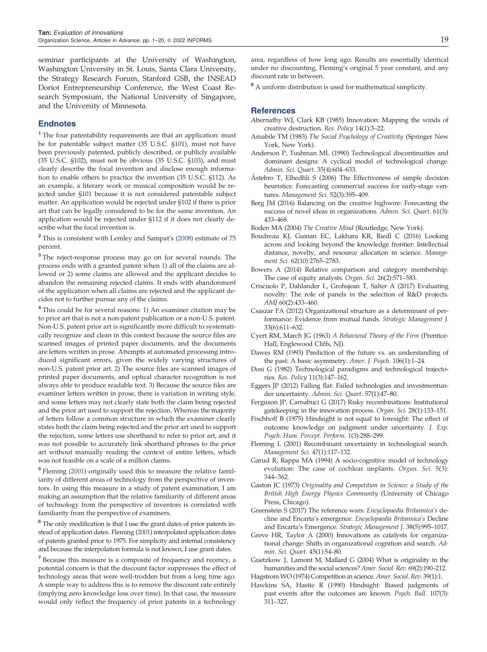<span id="page-18-0"></span>seminar participants at the University of Washington, Washington University in St. Louis, Santa Clara University, the Strategy Research Forum, Stanford GSB, the INSEAD Doriot Entrepreneurship Conference, the West Coast Research Symposium, the National University of Singapore, and the University of Minnesota.

#### Endnotes

<sup>1</sup> The four patentability requirements are that an application: must be for patentable subject matter (35 U.S.C. §101), must not have been previously patented, publicly described, or publicly available (35 U.S.C. §102), must not be obvious (35 U.S.C. §103), and must clearly describe the focal invention and disclose enough information to enable others to practice the invention (35 U.S.C. §112). As an example, a literary work or musical composition would be rejected under §101 because it is not considered patentable subject matter. An application would be rejected under §102 if there is prior art that can be legally considered to be for the same invention. An application would be rejected under §112 if it does not clearly describe what the focal invention is.

<sup>2</sup> This is consistent with Lemley and Sampat's ([2008](#page-19-0)) estimate of 75 percent.

<sup>3</sup> The reject-response process may go on for several rounds. The process ends with a granted patent when 1) all of the claims are allowed or 2) some claims are allowed and the applicant decides to abandon the remaining rejected claims. It ends with abandonment of the application when all claims are rejected and the applicant decides not to further pursue any of the claims.

<sup>4</sup> This could be for several reasons: 1) An examiner citation may be to prior art that is not a non-patent publication or a non-U.S. patent. Non-U.S. patent prior art is significantly more difficult to systematically recognize and clean in this context because the source files are scanned images of printed paper documents, and the documents are letters written in prose. Attempts at automated processing introduced significant errors, given the widely varying structures of non-U.S. patent prior art. 2) The source files are scanned images of printed paper documents, and optical character recognition is not always able to produce readable text. 3) Because the source files are examiner letters written in prose, there is variation in writing style, and some letters may not clearly state both the claim being rejected and the prior art used to support the rejection. Whereas the majority of letters follow a common structure in which the examiner clearly states both the claim being rejected and the prior art used to support the rejection, some letters use shorthand to refer to prior art, and it was not possible to accurately link shorthand phrases to the prior art without manually reading the context of entire letters, which was not feasible on a scale of a million claims.

<sup>5</sup> Fleming (2001) originally used this to measure the relative familiarity of different areas of technology from the perspective of inventors. In using this measure in a study of patent examination, I am making an assumption that the relative familiarity of different areas of technology from the perspective of inventors is correlated with familiarity from the perspective of examiners.

<sup>6</sup> The only modification is that I use the grant dates of prior patents instead of application dates. Fleming (2001) interpolated application dates of patents granted prior to 1975. For simplicity and internal consistency and because the interpolation formula is not known, I use grant dates.

<sup>7</sup> Because this measure is a composite of frequency and recency, a potential concern is that the discount factor suppresses the effect of technology areas that were well-trodden but from a long time ago. A simple way to address this is to remove the discount rate entirely (implying zero knowledge loss over time). In that case, the measure would only reflect the frequency of prior patents in a technology

area, regardless of how long ago. Results are essentially identical under no discounting, Fleming's original 5 year constant, and any discount rate in between.

<sup>8</sup> A uniform distribution is used for mathematical simplicity.

#### References

- Abernathy WJ, Clark KB (1985) Innovation: Mapping the winds of creative destruction. *Res. Policy* 14(1):3–22.
- Amabile TM (1983) *The Social Psychology of Creativity* (Springer New York, New York).
- Anderson P, Tushman ML (1990) Technological discontinuities and dominant designs: A cyclical model of technological change. *Admin. Sci. Quart.* 35(4):604–633.
- Åstebro T, Elhedhli S (2006) The Effectiveness of simple decision heuristics: Forecasting commercial success for early-stage ventures. *Management Sci.* 52(3):395–409.
- Berg JM (2016) Balancing on the creative highwire: Forecasting the success of novel ideas in organizations. *Admin. Sci. Quart.* 61(3): 433–468.
- Boden MA (2004) *The Creative Mind* (Routledge, New York).
- Boudreau KJ, Guinan EC, Lakhani KR, Riedl C (2016) Looking across and looking beyond the knowledge frontier: Intellectual distance, novelty, and resource allocation in science. *Management Sci.* 62(10):2765–2783.
- Bowers A (2014) Relative comparison and category membership: The case of equity analysts. *Organ. Sci.* 26(2):571–583.
- Criscuolo P, Dahlander L, Grohsjean T, Salter A (2017) Evaluating novelty: The role of panels in the selection of R&D projects. *AMJ* 60(2):433–460.
- Csaszar FA (2012) Organizational structure as a determinant of performance: Evidence from mutual funds. *Strategic Management J.* 33(6):611–632.
- Cyert RM, March JG (1963) *A Behavioral Theory of the Firm* (Prentice-Hall, Englewood Cliffs, NJ).
- Dawes RM (1993) Prediction of the future vs. an understanding of the past: A basic asymmetry. *Amer. J. Psych.* 106(1):1–24.
- Dosi G (1982) Technological paradigms and technological trajectories. *Res. Policy* 11(3):147–162.
- Eggers JP (2012) Falling flat: Failed technologies and investmentunder uncertainty. *Admin. Sci. Quart.* 57(1):47–80.
- Ferguson JP, Carnabuci G (2017) Risky recombinations: Institutional gatekeeping in the innovation process. *Organ. Sci.* 28(1):133–151.
- Fischhoff B (1975) Hindsight is not equal to foresight: The effect of outcome knowledge on judgment under uncertainty. *J. Exp. Psych. Hum. Percept. Perform.* 1(3):288–299.
- Fleming L (2001) Recombinant uncertainty in technological search. *Management Sci.* 47(1):117–132.
- Garud R, Rappa MA (1994) A socio-cognitive model of technology evolution: The case of cochlear implants. *Organ. Sci.* 5(3): 344–362.
- Gaston JC (1973) *Originality and Competition in Science: a Study of the British High Energy Physics Community* (University of Chicago Press, Chicago).
- Greenstein S (2017) The reference wars: *Encyclopaedia Britannica*'*s* decline and Encarta's emergence: *Encyclopaedia Britannica*'*s* Decline and Encarta's Emergence. *Strategic Management J.* 38(5):995–1017.
- Greve HR, Taylor A (2000) Innovations as catalysts for organizational change: Shifts in organizational cognition and search. *Admin. Sci. Quart.* 45(1):54–80.
- Guetzkow J, Lamont M, Mallard G (2004) What is originality in the humanities and the social sciences? *Amer. Sociol. Rev.* 69(2):190–212. Hagstrom WO (1974) Competition in science. *Amer. Sociol. Rev.* 39(1):1.
- Hawkins SA, Hastie R (1990) Hindsight: Biased judgments of past events after the outcomes are known. *Psych. Bull.* 107(3): 311–327.